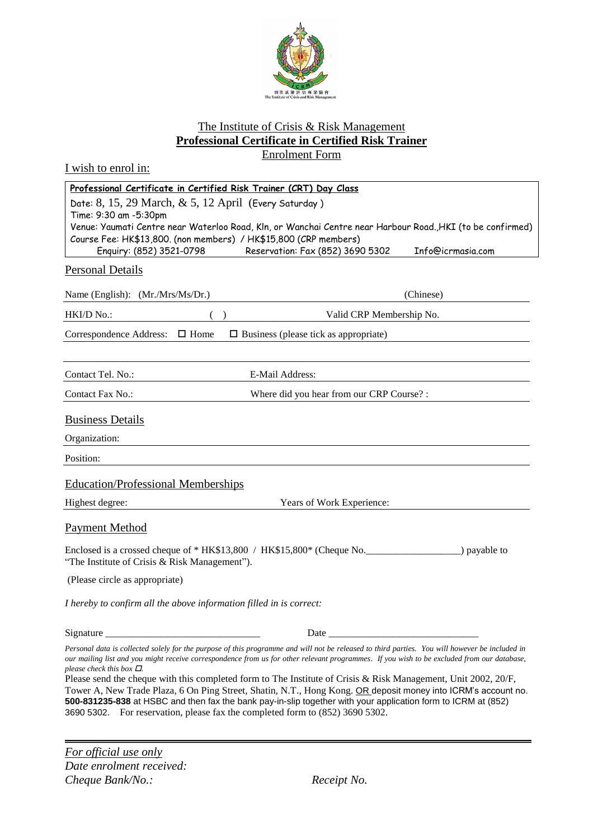

## The Institute of Crisis & Risk Management **Professional Certificate in Certified Risk Trainer** Enrolment Form

I wish to enrol in:

| Professional Certificate in Certified Risk Trainer (CRT) Day Class                                                                                                                                                                                                                                                                                                                                                                                                                                                                                                                                                                                                                 |                                                                                                                                                                                                                                     |
|------------------------------------------------------------------------------------------------------------------------------------------------------------------------------------------------------------------------------------------------------------------------------------------------------------------------------------------------------------------------------------------------------------------------------------------------------------------------------------------------------------------------------------------------------------------------------------------------------------------------------------------------------------------------------------|-------------------------------------------------------------------------------------------------------------------------------------------------------------------------------------------------------------------------------------|
| Date: $8, 15, 29$ March, $\& 5, 12$ April (Every Saturday)<br>Time: 9:30 am -5:30pm                                                                                                                                                                                                                                                                                                                                                                                                                                                                                                                                                                                                |                                                                                                                                                                                                                                     |
| Venue: Yaumati Centre near Waterloo Road, Kln, or Wanchai Centre near Harbour Road., HKI (to be confirmed)                                                                                                                                                                                                                                                                                                                                                                                                                                                                                                                                                                         |                                                                                                                                                                                                                                     |
| Course Fee: HK\$13,800. (non members) / HK\$15,800 (CRP members)<br>Enquiry: (852) 3521-0798<br>Reservation: Fax (852) 3690 5302<br>Info@icrmasia.com                                                                                                                                                                                                                                                                                                                                                                                                                                                                                                                              |                                                                                                                                                                                                                                     |
|                                                                                                                                                                                                                                                                                                                                                                                                                                                                                                                                                                                                                                                                                    |                                                                                                                                                                                                                                     |
| <b>Personal Details</b>                                                                                                                                                                                                                                                                                                                                                                                                                                                                                                                                                                                                                                                            |                                                                                                                                                                                                                                     |
| Name (English): (Mr./Mrs/Ms/Dr.)                                                                                                                                                                                                                                                                                                                                                                                                                                                                                                                                                                                                                                                   | (Chinese)                                                                                                                                                                                                                           |
| HKI/D No.:                                                                                                                                                                                                                                                                                                                                                                                                                                                                                                                                                                                                                                                                         | Valid CRP Membership No.                                                                                                                                                                                                            |
| Correspondence Address: □ Home<br>$\Box$ Business (please tick as appropriate)                                                                                                                                                                                                                                                                                                                                                                                                                                                                                                                                                                                                     |                                                                                                                                                                                                                                     |
|                                                                                                                                                                                                                                                                                                                                                                                                                                                                                                                                                                                                                                                                                    |                                                                                                                                                                                                                                     |
| Contact Tel. No.:<br>E-Mail Address:                                                                                                                                                                                                                                                                                                                                                                                                                                                                                                                                                                                                                                               |                                                                                                                                                                                                                                     |
| Contact Fax No.:                                                                                                                                                                                                                                                                                                                                                                                                                                                                                                                                                                                                                                                                   | Where did you hear from our CRP Course? :                                                                                                                                                                                           |
| <b>Business Details</b>                                                                                                                                                                                                                                                                                                                                                                                                                                                                                                                                                                                                                                                            |                                                                                                                                                                                                                                     |
|                                                                                                                                                                                                                                                                                                                                                                                                                                                                                                                                                                                                                                                                                    |                                                                                                                                                                                                                                     |
| Organization:                                                                                                                                                                                                                                                                                                                                                                                                                                                                                                                                                                                                                                                                      |                                                                                                                                                                                                                                     |
| Position:                                                                                                                                                                                                                                                                                                                                                                                                                                                                                                                                                                                                                                                                          |                                                                                                                                                                                                                                     |
| <b>Education/Professional Memberships</b>                                                                                                                                                                                                                                                                                                                                                                                                                                                                                                                                                                                                                                          |                                                                                                                                                                                                                                     |
| Highest degree:                                                                                                                                                                                                                                                                                                                                                                                                                                                                                                                                                                                                                                                                    | Years of Work Experience:                                                                                                                                                                                                           |
| <b>Payment Method</b>                                                                                                                                                                                                                                                                                                                                                                                                                                                                                                                                                                                                                                                              |                                                                                                                                                                                                                                     |
| Enclosed is a crossed cheque of * HK\$13,800 / HK\$15,800 * (Cheque No.<br>) payable to<br>"The Institute of Crisis & Risk Management").                                                                                                                                                                                                                                                                                                                                                                                                                                                                                                                                           |                                                                                                                                                                                                                                     |
| (Please circle as appropriate)                                                                                                                                                                                                                                                                                                                                                                                                                                                                                                                                                                                                                                                     |                                                                                                                                                                                                                                     |
| I hereby to confirm all the above information filled in is correct:                                                                                                                                                                                                                                                                                                                                                                                                                                                                                                                                                                                                                |                                                                                                                                                                                                                                     |
|                                                                                                                                                                                                                                                                                                                                                                                                                                                                                                                                                                                                                                                                                    | Date <u>and the second second</u> and the second second second second second second second second second second second second second second second second second second second second second second second second second second sec |
| Personal data is collected solely for the purpose of this programme and will not be released to third parties. You will however be included in<br>our mailing list and you might receive correspondence from us for other relevant programmes. If you wish to be excluded from our database,<br>please check this box $\Box$ .<br>Please send the cheque with this completed form to The Institute of Crisis & Risk Management, Unit 2002, 20/F,<br>Tower A, New Trade Plaza, 6 On Ping Street, Shatin, N.T., Hong Kong. OR deposit money into ICRM's account no.<br>500-831235-838 at HSBC and then fax the bank pay-in-slip together with your application form to ICRM at (852) |                                                                                                                                                                                                                                     |

3690 5302. For reservation, please fax the completed form to (852) 3690 5302.

*For official use only Date enrolment received: Cheque Bank/No.: Receipt No.*